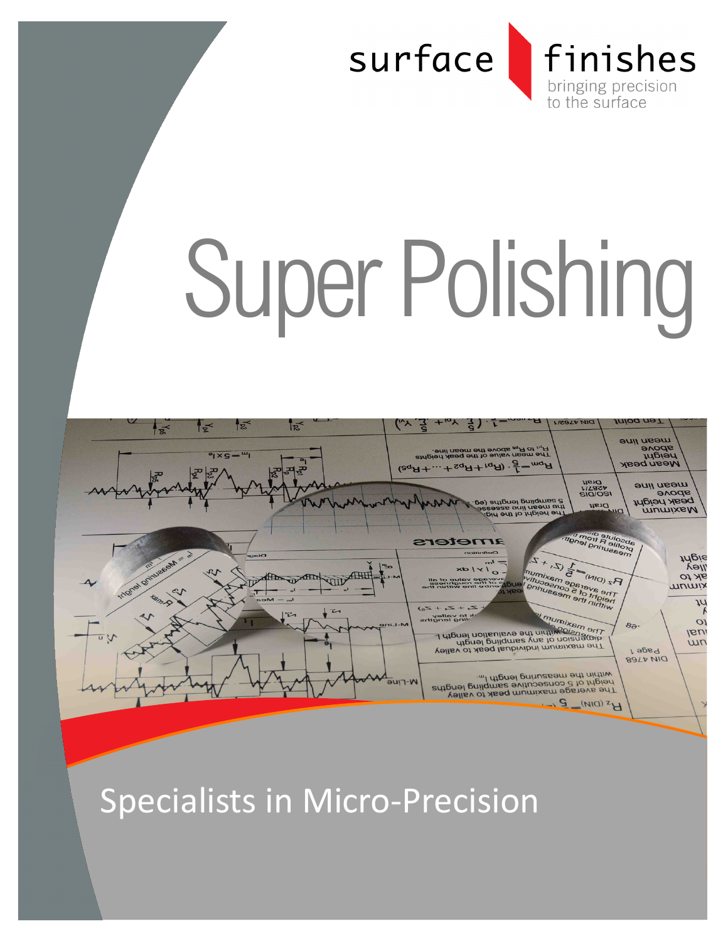

# Super Polishing



Specialists in Micro-Precision